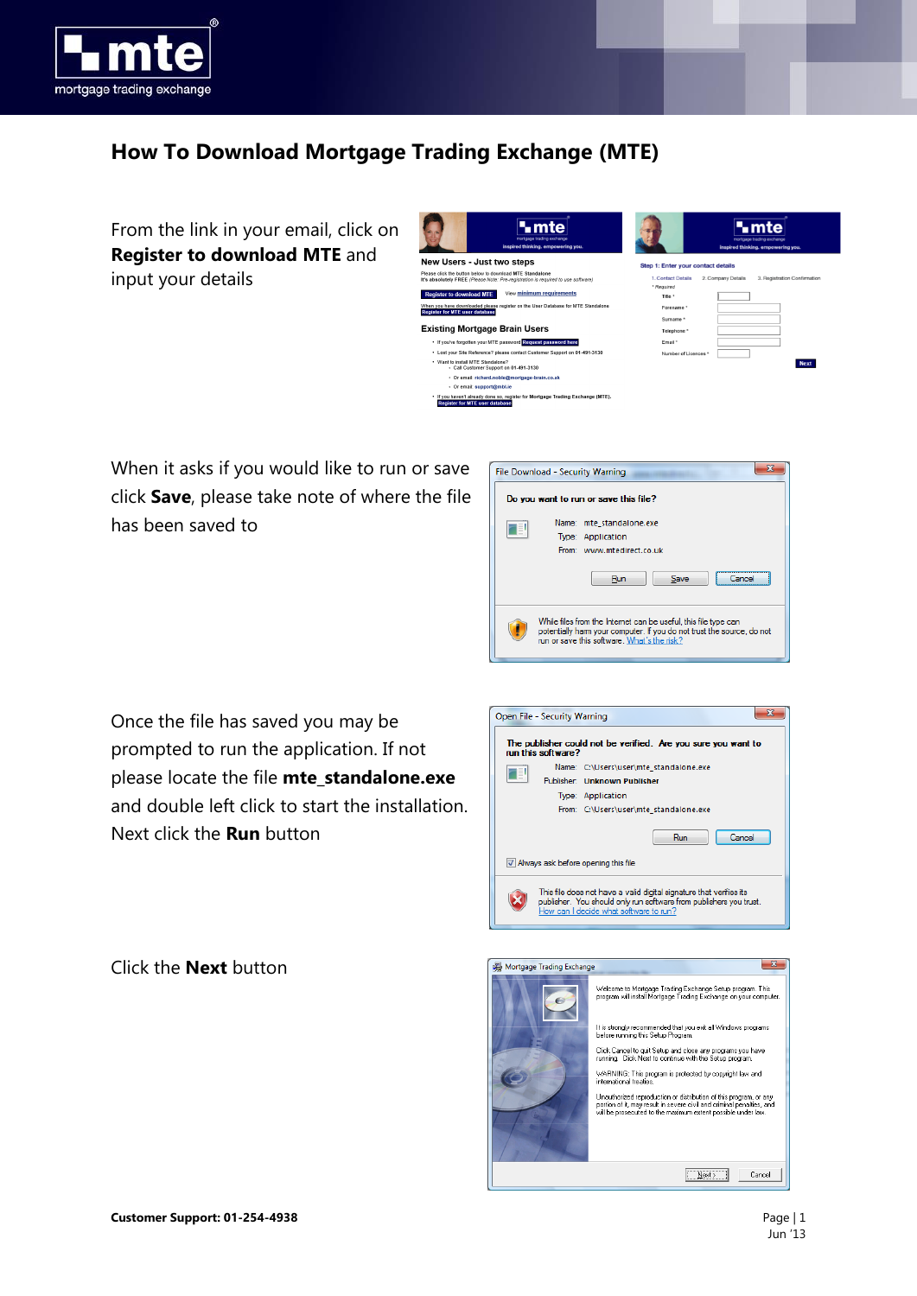

## **How To Download Mortgage Trading Exchange (MTE)**

From the link in your email, click on **Register to download MTE** and input your details

| •mte<br>mortgage trading exchange<br>inspired thinking, empowering you.                                                                       | mortgage trading exchange<br>inspired thinking, empowering you.                        |
|-----------------------------------------------------------------------------------------------------------------------------------------------|----------------------------------------------------------------------------------------|
| New Users - Just two steps                                                                                                                    | Step 1: Enter your contact details                                                     |
| Please click the button below to download MTE Standalone<br>It's absolutely FREE (Please Note: Pre-registration is required to use software). | 1. Contact Details<br>2. Company Details<br>3. Registration Confirmation<br>* Reguired |
| View minimum requirements<br><b>Register to download MTE</b>                                                                                  | Title *                                                                                |
| When you have downloaded please register on the User Database for MTE Standalone<br><b>Register for MTE user database</b>                     | Forename <sup>*</sup>                                                                  |
| <b>Existing Mortgage Brain Users</b>                                                                                                          | Surname <sup>*</sup><br>Telephone *                                                    |
| . If you've forgotten your MTE password Request password here                                                                                 | Email *                                                                                |
| • Lost your Site Reference? please contact Customer Support on 01-491-3130                                                                    | Number of Licences <sup>*</sup>                                                        |
| . Want to install MTF Standalone?<br>- Call Customer Support on 01-491-3130                                                                   | <b>Next</b>                                                                            |
| · Or email: richard.noble@mortgage-brain.co.uk                                                                                                |                                                                                        |
| · Or email: support@mbl.ie                                                                                                                    |                                                                                        |
| . If you haven't already done so, register for Mortgage Trading Exchange (MTE).<br><b>Register for MTE user database</b>                      |                                                                                        |

When it asks if you would like to run or save click **Save**, please take note of where the file has been saved to



Once the file has saved you may be prompted to run the application. If not please locate the file **mte\_standalone.exe** and double left click to start the installation. Next click the **Run** button



Click the **Next** button

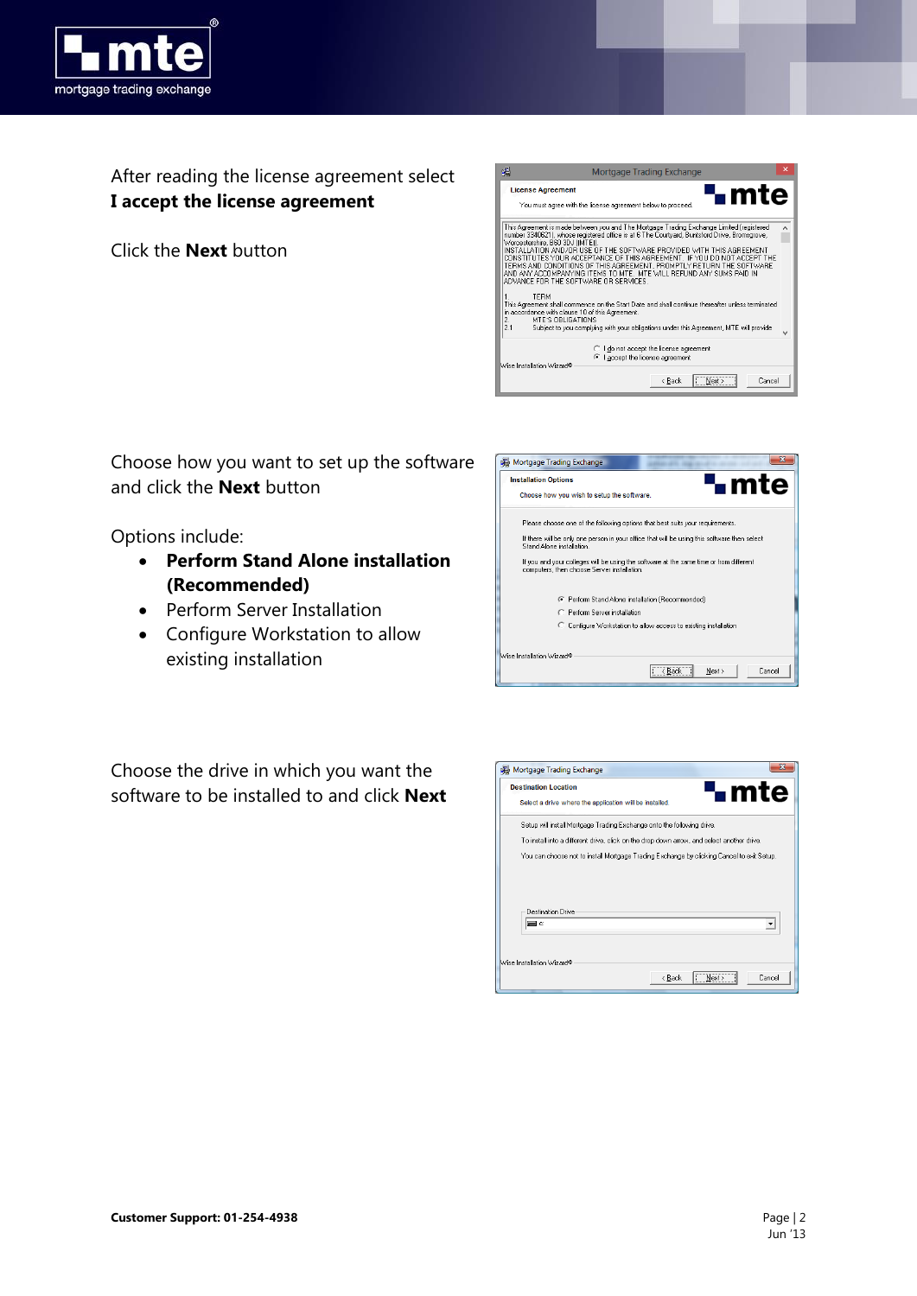

After reading the license agreement select **I accept the license agreement**

Click the **Next** button



Choose how you want to set up the software and click the **Next** button

Options include:

- **Perform Stand Alone installation (Recommended)**
- Perform Server Installation
- Configure Workstation to allow existing installation

| <b>Installation Options</b> | <b>L</b> mte<br>Choose how you wish to setup the software.                                                                            |
|-----------------------------|---------------------------------------------------------------------------------------------------------------------------------------|
|                             | Please choose one of the following options that best suits your requirements.                                                         |
|                             | If there will be only one person in your office that will be using this software then select<br>Stand Alone installation              |
|                             | If you and your colleges will be using the software at the same time or from different<br>computers, then choose Server installation. |
|                             | F Perform Stand Alone installation (Recommended)                                                                                      |
|                             | C. Perform Server installation                                                                                                        |
|                             | C Configure Workstation to allow access to existing installation                                                                      |
| Wise Installation Wizard®   |                                                                                                                                       |

Choose the drive in which you want the software to be installed to and click **Next**

|                   | <b>Destination Location</b>                                                                |  | <b>L</b> mte |
|-------------------|--------------------------------------------------------------------------------------------|--|--------------|
|                   | Select a drive where the application will be installed.                                    |  |              |
|                   | Setup will install Mortgage Trading Exchange onto the following drive.                     |  |              |
|                   | To install into a different drive, click on the drop down arrow, and select another drive. |  |              |
|                   | You can choose not to install Mortgage Trading Exchange by clicking Cancel to exit Setup.  |  |              |
|                   |                                                                                            |  |              |
|                   |                                                                                            |  |              |
| Destination Drive |                                                                                            |  |              |
| l≡l c:            |                                                                                            |  |              |
|                   |                                                                                            |  |              |